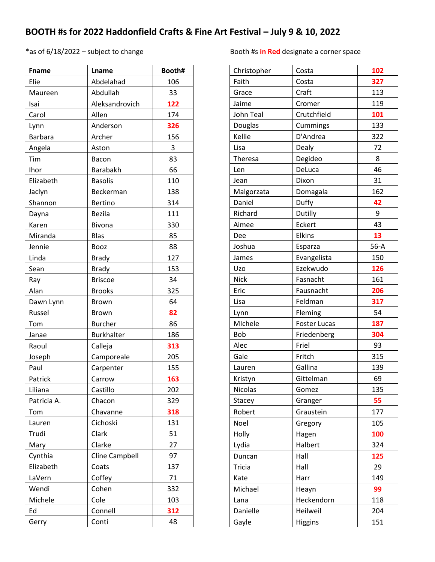## **BOOTH #s for 2022 Haddonfield Crafts & Fine Art Festival – July 9 & 10, 2022**

| <b>Fname</b>   | Lname             | Booth# |
|----------------|-------------------|--------|
| Elie           | Abdelahad         | 106    |
| Maureen        | Abdullah          | 33     |
| Isai           | Aleksandrovich    | 122    |
| Carol          | Allen             | 174    |
| Lynn           | Anderson          | 326    |
| <b>Barbara</b> | Archer            | 156    |
| Angela         | Aston             | 3      |
| Tim            | Bacon             | 83     |
| Ihor           | Barabakh          | 66     |
| Elizabeth      | <b>Basolis</b>    | 110    |
| Jaclyn         | Beckerman         | 138    |
| Shannon        | <b>Bertino</b>    | 314    |
| Dayna          | <b>Bezila</b>     | 111    |
| Karen          | <b>Bivona</b>     | 330    |
| Miranda        | <b>Blas</b>       | 85     |
| Jennie         | Booz              | 88     |
| Linda          | <b>Brady</b>      | 127    |
| Sean           | <b>Brady</b>      | 153    |
| Ray            | <b>Briscoe</b>    | 34     |
| Alan           | <b>Brooks</b>     | 325    |
| Dawn Lynn      | <b>Brown</b>      | 64     |
| Russel         | <b>Brown</b>      | 82     |
| Tom            | <b>Burcher</b>    | 86     |
| Janae          | <b>Burkhalter</b> | 186    |
| Raoul          | Calleja           | 313    |
| Joseph         | Camporeale        | 205    |
| Paul           | Carpenter         | 155    |
| Patrick        | Carrow            | 163    |
| Liliana        | Castillo          | 202    |
| Patricia A.    | Chacon            | 329    |
| Tom            | Chavanne          | 318    |
| Lauren         | Cichoski          | 131    |
| Trudi          | Clark             | 51     |
| Mary           | Clarke            | 27     |
| Cynthia        | Cline Campbell    | 97     |
| Elizabeth      | Coats             | 137    |
| LaVern         | Coffey            | 71     |
| Wendi          | Cohen             | 332    |
| Michele        | Cole              | 103    |
| Ed             | Connell           | 312    |
| Gerry          | Conti             | 48     |

## \*as of 6/18/2022 – subject to change Booth #s **in Red** designate a corner space

| Christopher    | Costa               | 102    |
|----------------|---------------------|--------|
| Faith          | Costa               | 327    |
| Grace          | Craft               | 113    |
| Jaime          | Cromer              | 119    |
| John Teal      | Crutchfield         | 101    |
| Douglas        | Cummings            | 133    |
| Kellie         | D'Andrea            | 322    |
| Lisa           | Dealy               | 72     |
| Theresa        | Degideo             | 8      |
| Len            | DeLuca              | 46     |
| Jean           | Dixon               | 31     |
| Malgorzata     | Domagala            | 162    |
| Daniel         | Duffy               | 42     |
| Richard        | Dutilly             | 9      |
| Aimee          | Eckert              | 43     |
| Dee            | <b>Elkins</b>       | 13     |
| Joshua         | Esparza             | $56-A$ |
| James          | Evangelista         | 150    |
| Uzo            | Ezekwudo            | 126    |
| <b>Nick</b>    | Fasnacht            | 161    |
| Eric           | Fausnacht           | 206    |
| Lisa           | Feldman             | 317    |
| Lynn           | Fleming             | 54     |
| MIchele        | <b>Foster Lucas</b> | 187    |
| <b>Bob</b>     | Friedenberg         | 304    |
| Alec           | Friel               | 93     |
| Gale           | Fritch              | 315    |
| Lauren         | Gallina             | 139    |
| Kristyn        | Gittelman           | 69     |
| <b>Nicolas</b> | Gomez               | 135    |
| Stacey         | Granger             | 55     |
| Robert         | Graustein           | 177    |
| Noel           | Gregory             | 105    |
| Holly          | Hagen               | 100    |
| Lydia          | Halbert             | 324    |
| Duncan         | Hall                | 125    |
| <b>Tricia</b>  | Hall                | 29     |
| Kate           | Harr                | 149    |
| Michael        | Heayn               | 99     |
| Lana           | Heckendorn          | 118    |
| Danielle       | Heilweil            | 204    |
| Gayle          | <b>Higgins</b>      | 151    |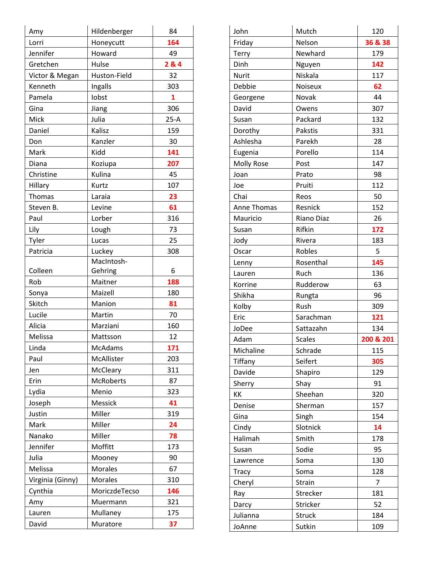| Amy              | Hildenberger     | 84     |
|------------------|------------------|--------|
| Lorri            | Honeycutt        | 164    |
| Jennifer         | Howard           | 49     |
| Gretchen         | Hulse            | 284    |
| Victor & Megan   | Huston-Field     | 32     |
| Kenneth          | Ingalls          | 303    |
| Pamela           | lobst            | 1      |
| Gina             | Jiang            | 306    |
| Mick             | Julia            | $25-A$ |
| Daniel           | Kalisz           | 159    |
| Don              | Kanzler          | 30     |
| Mark             | Kidd             | 141    |
| Diana            | Koziupa          | 207    |
| Christine        | Kulina           | 45     |
| Hillary          | Kurtz            | 107    |
| Thomas           | Laraia           | 23     |
| Steven B.        | Levine           | 61     |
| Paul             | Lorber           | 316    |
| Lily             | Lough            | 73     |
| Tyler            | Lucas            | 25     |
| Patricia         | Luckey           | 308    |
|                  | MacIntosh-       |        |
| Colleen          | Gehring          | 6      |
| Rob              | Maitner          | 188    |
| Sonya            | Maizell          | 180    |
| Skitch           | Manion           | 81     |
| Lucile           | Martin           | 70     |
| Alicia           | Marziani         | 160    |
| Melissa          | Mattsson         | 12     |
| Linda            | <b>McAdams</b>   | 171    |
| Paul             | McAllister       | 203    |
| Jen              | McCleary         | 311    |
| Erin             | <b>McRoberts</b> | 87     |
| Lydia            | Menio            | 323    |
| Joseph           | Messick          | 41     |
| Justin           | Miller           | 319    |
| Mark             | Miller           | 24     |
| Nanako           | Miller           | 78     |
| Jennifer         | Moffitt          | 173    |
| Julia            | Mooney           | 90     |
| Melissa          | Morales          | 67     |
| Virginia (Ginny) | <b>Morales</b>   | 310    |
| Cynthia          | MoriczdeTecso    | 146    |
| Amy              | Muermann         | 321    |
| Lauren           | Mullaney         | 175    |
| David            | Muratore         | 37     |

| John         | Mutch         | 120       |
|--------------|---------------|-----------|
| Friday       | Nelson        | 36 & 38   |
| Terry        | Newhard       | 179       |
| Dinh         | Nguyen        | 142       |
| <b>Nurit</b> | Niskala       | 117       |
| Debbie       | Noiseux       | 62        |
| Georgene     | Novak         | 44        |
| David        | Owens         | 307       |
| Susan        | Packard       | 132       |
| Dorothy      | Pakstis       | 331       |
| Ashlesha     | Parekh        | 28        |
| Eugenia      | Porello       | 114       |
| Molly Rose   | Post          | 147       |
| Joan         | Prato         | 98        |
| Joe          | Pruiti        | 112       |
| Chai         | Reos          | 50        |
| Anne Thomas  | Resnick       | 152       |
| Mauricio     | Riano Diaz    | 26        |
| Susan        | Rifkin        | 172       |
| Jody         | Rivera        | 183       |
| Oscar        | Robles        | 5         |
| Lenny        | Rosenthal     | 145       |
| Lauren       | Ruch          | 136       |
| Korrine      | Rudderow      | 63        |
| Shikha       | Rungta        | 96        |
| Kolby        | Rush          | 309       |
| Eric         | Sarachman     | 121       |
| JoDee        | Sattazahn     | 134       |
| Adam         | <b>Scales</b> | 200 & 201 |
| Michaline    | Schrade       | 115       |
| Tiffany      | Seifert       | 305       |
| Davide       | Shapiro       | 129       |
| Sherry       | Shay          | 91        |
| КK           | Sheehan       | 320       |
| Denise       | Sherman       | 157       |
| Gina         | Singh         | 154       |
| Cindy        | Slotnick      | 14        |
| Halimah      | Smith         | 178       |
| Susan        | Sodie         | 95        |
| Lawrence     | Soma          | 130       |
| <b>Tracy</b> | Soma          | 128       |
| Cheryl       | Strain        | 7         |
|              |               |           |
| Ray          | Strecker      | 181       |
| Darcy        | Stricker      | 52        |
| Julianna     | <b>Struck</b> | 184       |